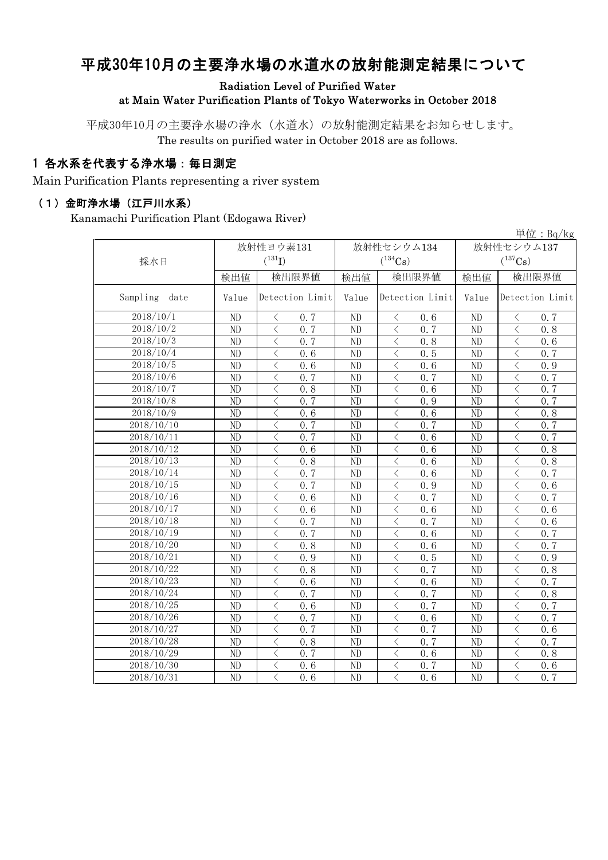# 平成30年10月の主要浄水場の水道水の放射能測定結果について

#### Radiation Level of Purified Water at Main Water Purification Plants of Tokyo Waterworks in October 2018

平成30年10月の主要浄水場の浄水(水道水)の放射能測定結果をお知らせします。 The results on purified water in October 2018 are as follows.

### 1 各水系を代表する浄水場:毎日測定

Main Purification Plants representing a river system

#### (1)金町浄水場(江戸川水系)

Kanamachi Purification Plant (Edogawa River)

|                  |       |                                                  |                       |                   |                       | 単位: $Bq/kg$                                     |  |
|------------------|-------|--------------------------------------------------|-----------------------|-------------------|-----------------------|-------------------------------------------------|--|
|                  |       | 放射性ヨウ素131                                        |                       | 放射性セシウム134        | 放射性セシウム137            |                                                 |  |
| 採水日              |       | $({}^{131}\text{I})$                             | $(^{134}\mathrm{Cs})$ |                   | $(^{137}\mathrm{Cs})$ |                                                 |  |
|                  | 検出値   | 検出限界値                                            | 検出値                   | 検出限界値             | 検出値                   | 検出限界値                                           |  |
|                  |       |                                                  |                       |                   |                       |                                                 |  |
| Sampling<br>date | Value | Detection Limit                                  | Value                 | Detection Limit   | Value                 | Detection Limit                                 |  |
| 2018/10/1        | ND    | 0.7<br>$\langle$                                 | ND                    | 0.6<br>$\langle$  | ND                    | $\lt$<br>0.7                                    |  |
| 2018/10/2        | ND    | $\overline{\left\langle \right\rangle }$<br>0.7  | ND                    | 0, 7<br>$\lt$     | ND                    | $\langle$<br>0.8                                |  |
| 2018/10/3        | ND    | 0, 7<br>$\langle$                                | ND                    | 0.8<br>$\lt$      | ND                    | $\lt$<br>0.6                                    |  |
| 2018/10/4        | ND    | $\langle$<br>0.6                                 | ND                    | 0.5<br>⟨          | ND                    | $\langle$<br>0.7                                |  |
| 2018/10/5        | ND    | $\langle$<br>0.6                                 | ND                    | 0, 6<br>$\lt$     | N <sub>D</sub>        | $\lt$<br>0.9                                    |  |
| 2018/10/6        | ND    | 0.7<br>$\langle$                                 | ND                    | 0.7<br>$\langle$  | ND                    | 0.7<br>$\langle$                                |  |
| 2018/10/7        | ND    | $\lt$<br>0.8                                     | ND                    | 0.6<br>$\langle$  | ND                    | $\langle$<br>0.7                                |  |
| 2018/10/8        | ND    | 0.7<br>$\langle$                                 | ND                    | 0.9<br>$\langle$  | ND                    | 0.7<br>$\langle$                                |  |
| 2018/10/9        | ND    | $\lt$<br>0.6                                     | ND                    | 0.6<br>$\langle$  | ND                    | $\langle$<br>0.8                                |  |
| 2018/10/10       | ND    | 0.7<br>$\langle$                                 | ND                    | 0.7<br>$\langle$  | ND                    | $\lt$<br>0.7                                    |  |
| 2018/10/11       | ND    | $\lt$<br>0.7                                     | ND                    | $\lt$<br>0.6      | ND                    | $\lt$<br>0.7                                    |  |
| 2018/10/12       | ND    | $\langle$<br>0.6                                 | ND                    | 0.6<br>$\langle$  | ND                    | 0.8                                             |  |
| 2018/10/13       | ND    | $\overline{\left\langle \right\rangle }$<br>0.8  | ND                    | $\langle$<br>0.6  | ND                    | $\lt$<br>0.8                                    |  |
| 2018/10/14       | ND    | $\lt$<br>0.7                                     | ND                    | 0.6<br>$\langle$  | ND                    | 0.7<br>$\hspace{0.5cm}\mathopen{<}$             |  |
| 2018/10/15       | ND    | $\overline{\left\langle \right\rangle }$<br>0, 7 | ND                    | $\langle$<br>0.9  | ND                    | $\overline{\left\langle \right\rangle }$<br>0.6 |  |
| 2018/10/16       | ND    | $\langle$<br>0.6                                 | ND                    | 0, 7<br>$\lt$     | ND                    | $\hspace{0.5cm}\mathopen{<}$<br>0.7             |  |
| 2018/10/17       | ND    | $\overline{\left\langle \right\rangle }$<br>0.6  | ND                    | $\lt$<br>0.6      | ND                    | $\lt$<br>0.6                                    |  |
| 2018/10/18       | ND    | $\overline{\left\langle \right\rangle }$<br>0.7  | ND                    | $\langle$<br>0, 7 | ND                    | $\overline{\langle}$<br>0.6                     |  |
| 2018/10/19       | ND    | $\overline{\left\langle \right\rangle }$<br>0.7  | ND                    | $\lt$<br>0.6      | ND                    | $\langle$<br>0.7                                |  |
| 2018/10/20       | ND    | $\lt$<br>0.8                                     | ND                    | 0, 6<br>ぐ         | ND                    | $\lt$<br>0, 7                                   |  |
| 2018/10/21       | ND    | $\langle$<br>0.9                                 | ND                    | $\lt$<br>0.5      | ND                    | $\langle$<br>0.9                                |  |
| 2018/10/22       | ND    | $\lt$<br>0.8                                     | ND                    | 0.7<br>$\lt$      | ND                    | $\lt$<br>0.8                                    |  |
| 2018/10/23       | ND    | $\lt$<br>0.6                                     | ND                    | $\lt$<br>0.6      | ND                    | $\lt$<br>0.7                                    |  |
| 2018/10/24       | ND    | $\langle$<br>0.7                                 | ND                    | $\lt$<br>0.7      | ND                    | $\langle$<br>0.8                                |  |
| 2018/10/25       | ND    | $\langle$<br>0.6                                 | ND                    | $\langle$<br>0.7  | ND                    | $\lt$<br>0.7                                    |  |
| 2018/10/26       | ND    | $\langle$<br>0, 7                                | ND                    | $\lt$<br>0.6      | ND                    | 0.7<br>$\langle$                                |  |
| 2018/10/27       | ND    | $\lt$<br>0.7                                     | ND                    | $\langle$<br>0.7  | ND                    | $\lt$<br>0.6                                    |  |
| 2018/10/28       | ND    | $\langle$<br>0.8                                 | ND                    | 0.7<br>$\lt$      | ND                    | $\lt$<br>0.7                                    |  |
| 2018/10/29       | ND    | $\langle$<br>0, 7                                | ND                    | $\langle$<br>0.6  | ND                    | $\lt$<br>0.8                                    |  |
| 2018/10/30       | ND    | $\overline{\left\langle \right\rangle }$<br>0.6  | ND                    | 0.7<br>$\langle$  | ND                    | $\langle$<br>0.6                                |  |
| 2018/10/31       | ND    | $\overline{\left\langle \right\rangle }$<br>0.6  | N <sub>D</sub>        | 0, 6<br>$\langle$ | ND                    | 0.7<br>$\langle$                                |  |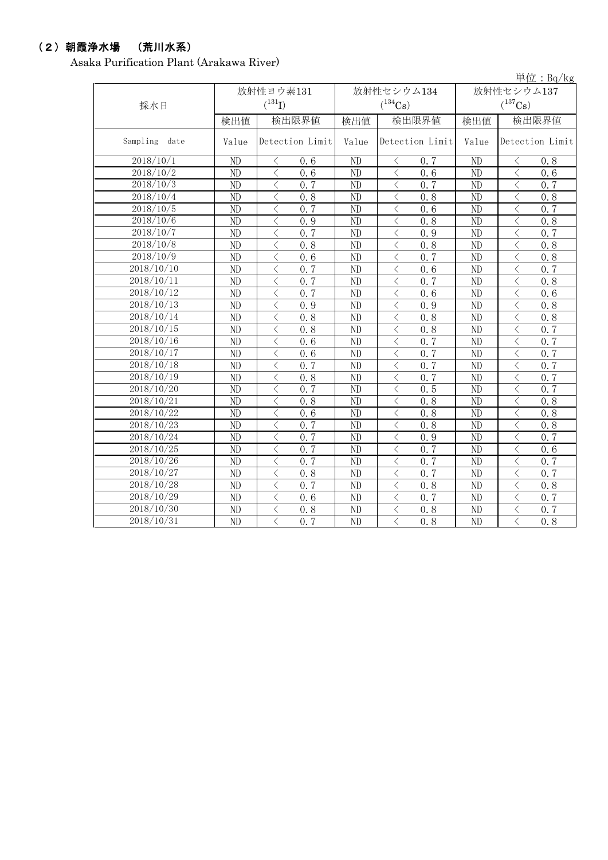# (2)朝霞浄水場 (荒川水系)

Asaka Purification Plant (Arakawa River)

|                  |       |                                                  |                |                               |                       | 単位: $Bq/kg$                                      |  |
|------------------|-------|--------------------------------------------------|----------------|-------------------------------|-----------------------|--------------------------------------------------|--|
|                  |       | 放射性ヨウ素131                                        |                | 放射性セシウム134                    |                       | 放射性セシウム137                                       |  |
| 採水日              |       | $(^{131}I)$                                      |                | $(^{134}Cs)$                  | $(^{137}\mathrm{Cs})$ |                                                  |  |
|                  | 検出値   | 検出限界値                                            | 検出値            | 検出限界値                         | 検出値                   | 検出限界値                                            |  |
| Sampling<br>date | Value | Detection Limit                                  | Value          | Detection Limit               | Value                 | Detection Limit                                  |  |
| 2018/10/1        | ND    | 0.6<br>$\lt$                                     | ND             | く<br>0, 7                     | ND                    | 0.8<br>$\lt$                                     |  |
| 2018/10/2        | ND    | $\lt$<br>0, 6                                    | ND             | $\lt$<br>0, 6                 | ND                    | $\langle$<br>0, 6                                |  |
| 2018/10/3        | ND    | $\lt$<br>0, 7                                    | ND             | $\lt$<br>0, 7                 | ND                    | $\lt$<br>0, 7                                    |  |
| 2018/10/4        | ND    | $\lt$<br>0.8                                     | ND             | $\lt$<br>0.8                  | ND                    | $\lt$<br>0.8                                     |  |
| 2018/10/5        | ND    | $\langle$<br>0.7                                 | ND             | $\langle$<br>0.6              | ND                    | $\langle$<br>0.7                                 |  |
| 2018/10/6        | ND    | $\langle$<br>0.9                                 | ND             | $\lt$<br>0.8                  | ND                    | $\lt$<br>0.8                                     |  |
| 2018/10/7        | ND    | $\lt$<br>0, 7                                    | ND             | $\lt$<br>0.9                  | ND                    | $\lt$<br>0.7                                     |  |
| 2018/10/8        | ND    | $\overline{\left\langle \right\rangle }$<br>0.8  | ND             | $\lt$<br>0.8                  | ND                    | $\overline{\left\langle \right\rangle }$<br>0, 8 |  |
| 2018/10/9        | ND    | $\lt$<br>0.6                                     | ND             | 0.7<br>$\lt$                  | ND                    | $\langle$<br>0.8                                 |  |
| 2018/10/10       | ND    | $\overline{\left\langle \right\rangle }$<br>0.7  | ND             | 0, 6<br>$\langle$             | ND                    | $\lt$<br>0.7                                     |  |
| 2018/10/11       | ND    | $\overline{\left\langle \right\rangle }$<br>0.7  | ND             | $\lt$<br>0, 7                 | ND                    | $\overline{\left\langle \right\rangle }$<br>0.8  |  |
| 2018/10/12       | ND    | $\overline{\left\langle \right\rangle }$<br>0, 7 | ND             | $\langle$<br>0.6              | ND                    | $\lt$<br>0.6                                     |  |
| 2018/10/13       | ND    | $\lt$<br>0.9                                     | ND             | $\langle$<br>0.9              | ND                    | $\lt$<br>0.8                                     |  |
| 2018/10/14       | ND    | $\langle$<br>0.8                                 | ND             | $\lt$<br>0.8                  | ND                    | $\langle$<br>0.8                                 |  |
| 2018/10/15       | ND    | $\langle$<br>0.8                                 | ND             | $\lt$<br>0.8                  | ND                    | $\langle$<br>0.7                                 |  |
| 2018/10/16       | ND    | $\lt$<br>0.6                                     | ND             | $\lt$<br>0.7                  | ND                    | $\lt$<br>0.7                                     |  |
| 2018/10/17       | ND    | $\lt$<br>0.6                                     | ND             | $\lt$<br>0.7                  | ND                    | $\lt$<br>0.7                                     |  |
| 2018/10/18       | ND    | $\langle$<br>0.7                                 | ND             | 0.7<br>$\lt$                  | ND                    | $\langle$<br>0.7                                 |  |
| 2018/10/19       | ND    | $\langle$<br>0.8                                 | ND             | $\langle$<br>0.7              | ND                    | $\langle$<br>0.7                                 |  |
| 2018/10/20       | ND    | $\lt$<br>0, 7                                    | ND             | 0.5<br>$\lt$                  | ND                    | $\langle$<br>0.7                                 |  |
| 2018/10/21       | ND    | $\langle$<br>0.8                                 | ND             | 0.8<br>$\langle$              | ND                    | $\langle$<br>0.8                                 |  |
| 2018/10/22       | ND    | $\langle$<br>0.6                                 | ND             | $\langle$<br>0.8              | ND                    | $\langle$<br>0.8                                 |  |
| 2018/10/23       | ND    | 0.7<br>$\lt$                                     | ND             | 0.8<br>く                      | ND                    | $\lt$<br>0.8                                     |  |
| 2018/10/24       | ND    | $\lt$<br>0, 7                                    | ND             | $\lt$<br>0.9                  | ND                    | $\lt$<br>0, 7                                    |  |
| 2018/10/25       | ND    | $\overline{\left\langle \right\rangle }$<br>0, 7 | ND             | $\lt$<br>0, 7                 | ND                    | $\langle$<br>0.6                                 |  |
| 2018/10/26       | ND    | $\overline{\left\langle \right\rangle }$<br>0.7  | ND             | $\lt$<br>0, 7                 | N <sub>D</sub>        | $\langle$<br>0.7                                 |  |
| 2018/10/27       | ND    | $\langle$<br>0.8                                 | ND             | $\lt$<br>0, 7                 | N <sub>D</sub>        | $\lt$<br>0, 7                                    |  |
| 2018/10/28       | ND    | $\langle$<br>0.7                                 | N <sub>D</sub> | $\lt$<br>0.8                  | N <sub>D</sub>        | $\lt$<br>0.8                                     |  |
| 2018/10/29       | ND    | $\langle$<br>0, 6                                | ND             | 0.7<br>$\langle$              | ND                    | $\langle$<br>0.7                                 |  |
| 2018/10/30       | ND    | $\langle$<br>0.8                                 | ND             | 0.8<br>ぐ                      | ND                    | $\lt$<br>0.7                                     |  |
| 2018/10/31       | ND    | $\langle$<br>0.7                                 | ND             | $\overline{0.8}$<br>$\langle$ | N <sub>D</sub>        | $\langle$<br>0.8                                 |  |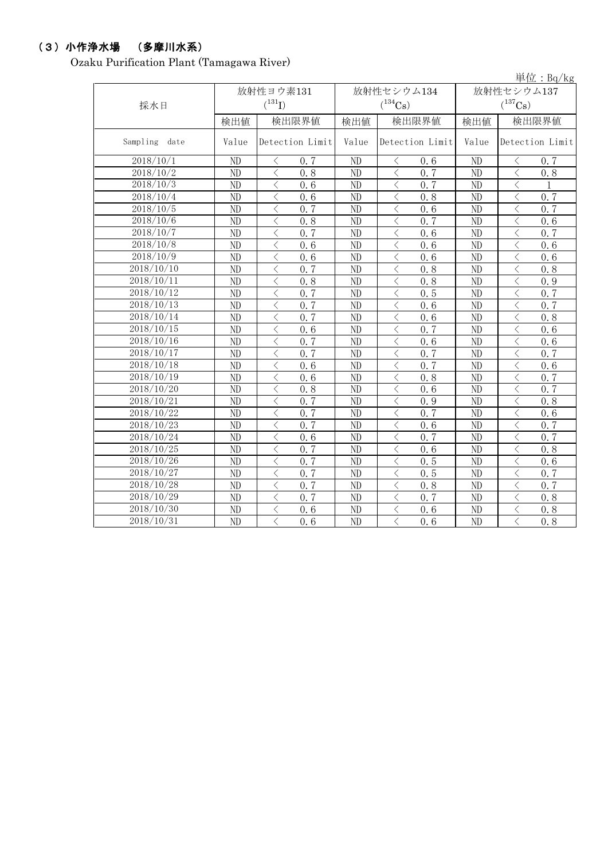# (3)小作浄水場 (多摩川水系)

Ozaku Purification Plant (Tamagawa River)

|                  |       |                                                 |       |                                                 |                | $\vert \dot{\Xi} \vert \dot{\Xi}$ : Bq/kg       |  |
|------------------|-------|-------------------------------------------------|-------|-------------------------------------------------|----------------|-------------------------------------------------|--|
|                  |       | 放射性ヨウ素131                                       |       | 放射性セシウム134                                      | 放射性セシウム137     |                                                 |  |
| 採水日              |       | $(^{131}I)$                                     |       | $(^{134}Cs)$                                    |                | $(^{137}\mathrm{Cs})$                           |  |
|                  | 検出値   | 検出限界値                                           | 検出値   | 検出限界値                                           | 検出値            | 検出限界値                                           |  |
| Sampling<br>date | Value | Detection Limit                                 | Value | Detection Limit                                 | Value          | Detection Limit                                 |  |
| 2018/10/1        | ND    | 0.7<br>$\lt$                                    | ND    | 0.6<br>く                                        | ND             | 0.7<br>$\lt$                                    |  |
| 2018/10/2        | ND    | 0.8<br>$\lt$                                    | ND    | 0, 7                                            | N <sub>D</sub> | $\lt$<br>0.8                                    |  |
| 2018/10/3        | ND    | $\langle$<br>0.6                                | ND    | $\langle$<br>0.7                                | ND             | $\lt$                                           |  |
| 2018/10/4        | ND    | $\langle$<br>0.6                                | ND    | $\langle$<br>0.8                                | ND             | $\lt$<br>0, 7                                   |  |
| 2018/10/5        | ND    | $\langle$<br>0, 7                               | ND    | $\langle$<br>0.6                                | ND             | $\lt$<br>0.7                                    |  |
| 2018/10/6        | ND    | $\langle$<br>0.8                                | ND    | ✓<br>0.7                                        | ND             | $\lt$<br>0, 6                                   |  |
| 2018/10/7        | ND    | $\lt$<br>0.7                                    | ND    | $\lt$<br>0, 6                                   | ND             | $\langle$<br>0, 7                               |  |
| 2018/10/8        | ND    | $\langle$<br>0.6                                | ND    | $\overline{\left\langle \right\rangle }$<br>0.6 | N <sub>D</sub> | $\langle$<br>0.6                                |  |
| 2018/10/9        | ND    | $\langle$<br>0, 6                               | ND    | 0.6<br>$\lt$                                    | ND             | $\lt$<br>0, 6                                   |  |
| 2018/10/10       | ND    | $\langle$<br>0.7                                | ND    | 0.8<br>$\lt$                                    | N <sub>D</sub> | $\lt$<br>0, 8                                   |  |
| 2018/10/11       | ND    | $\langle$<br>0.8                                | ND    | 0.8<br>$\lt$                                    | N <sub>D</sub> | $\overline{\left\langle \right\rangle }$<br>0.9 |  |
| 2018/10/12       | ND    | $\langle$<br>0.7                                | ND    | $\hspace{0.5cm}\mathopen{<}$<br>0.5             | ND             | $\langle$<br>0.7                                |  |
| 2018/10/13       | ND    | 0, 7<br>$\lt$                                   | ND    | 0.6                                             | ND             | $\langle$<br>0.7                                |  |
| 2018/10/14       | ND    | $\lt$<br>0, 7                                   | ND    | $\langle$<br>0.6                                | ND             | $\langle$<br>0.8                                |  |
| 2018/10/15       | ND    | 0.6<br>$\langle$                                | ND    | $\langle$<br>0, 7                               | ND             | $\lt$<br>0.6                                    |  |
| 2018/10/16       | ND    | $\lt$<br>0.7                                    | ND    | $\langle$<br>0.6                                | ND             | $\lt$<br>0.6                                    |  |
| 2018/10/17       | ND    | $\lt$<br>0.7                                    | ND    | 0.7<br>$\langle$                                | ND             | $\,$ $\,$ $\,$<br>0.7                           |  |
| 2018/10/18       | ND    | $\lt$<br>0.6                                    | ND    | 0.7<br>$\lt$                                    | ND             | $\langle$<br>0.6                                |  |
| 2018/10/19       | ND    | $\lt$<br>0.6                                    | ND    | $\lt$<br>0.8                                    | ND             | $\langle$<br>0.7                                |  |
| 2018/10/20       | ND    | $\lt$<br>0.8                                    | ND    | $\lt$<br>0.6                                    | ND             | $\lt$<br>0, 7                                   |  |
| 2018/10/21       | ND    | 0.7<br>$\langle$                                | ND    | 0.9<br>$\langle$                                | ND             | $\langle$<br>0.8                                |  |
| 2018/10/22       | ND    | $\langle$<br>0, 7                               | ND    | 0.7<br>$\langle$                                | ND             | $\lt$<br>0.6                                    |  |
| 2018/10/23       | ND    | 0.7<br>$\lt$                                    | ND    | 0.6<br>ぐ                                        | ND             | $\lt$<br>0, 7                                   |  |
| 2018/10/24       | ND    | $\lt$<br>0.6                                    | ND    | 0.7<br>く                                        | ND             | $\lt$<br>0, 7                                   |  |
| 2018/10/25       | ND    | $\langle$<br>0, 7                               | ND    | $\langle$<br>0.6                                | ND             | $\lt$<br>0.8                                    |  |
| 2018/10/26       | ND    | $\overline{\left\langle \right\rangle }$<br>0.7 | ND    | $\overline{\left\langle \right\rangle }$<br>0.5 | N <sub>D</sub> | $\langle$<br>0.6                                |  |
| 2018/10/27       | ND    | $\lt$<br>0, 7                                   | ND    | $\lt$<br>0.5                                    | N <sub>D</sub> | $\lt$<br>0, 7                                   |  |
| 2018/10/28       | ND    | $\lt$<br>0, 7                                   | ND    | 0.8<br>$\lt$                                    | N <sub>D</sub> | $\lt$<br>0.7                                    |  |
| 2018/10/29       | ND    | $\langle$<br>0.7                                | ND    | 0.7<br>✓                                        | N <sub>D</sub> | $\langle$<br>0.8                                |  |
| 2018/10/30       | ND    | $\overline{\left\langle \right\rangle }$<br>0.6 | ND    | 0.6                                             | ND             | $\langle$<br>0.8                                |  |
| 2018/10/31       | ND    | $\langle$<br>0.6                                | ND    | 0.6<br>$\lt$                                    | N <sub>D</sub> | $\langle$<br>$\overline{0.8}$                   |  |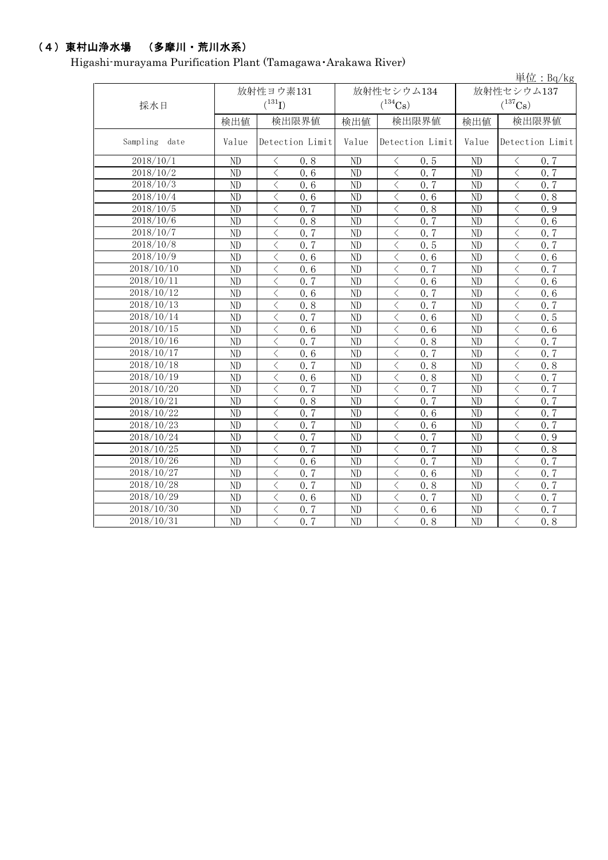# (4)東村山浄水場 (多摩川・荒川水系)

Higashi-murayama Purification Plant (Tamagawa・Arakawa River)

|                     |           |                                                              |                |                                                  |                       | 単位: $Bq/kg$                                      |  |
|---------------------|-----------|--------------------------------------------------------------|----------------|--------------------------------------------------|-----------------------|--------------------------------------------------|--|
|                     | 放射性ヨウ素131 |                                                              |                | 放射性セシウム134                                       | 放射性セシウム137            |                                                  |  |
| 採水日                 |           | $(^{131}I)$                                                  |                | $(^{134}Cs)$                                     | $(^{137}\mathrm{Cs})$ |                                                  |  |
|                     | 検出値       | 検出限界値                                                        | 検出値            | 検出限界値                                            | 検出値                   | 検出限界値                                            |  |
| Sampling<br>date    | Value     | Detection Limit                                              | Value          | Detection Limit                                  | Value                 | Detection Limit                                  |  |
| 2018/10/1           | ND        | 0.8<br>$\langle$                                             | N <sub>D</sub> | 0, 5<br>$\lt$                                    | N <sub>D</sub>        | $\lt$<br>0.7                                     |  |
| 2018/10/2           | ND        | $\lt$<br>0, 6                                                | ND             | 0, 7<br>$\langle$                                | ND                    | $\lt$<br>0.7                                     |  |
| $\frac{2018}{10/3}$ | ND        | $\lt$<br>0.6                                                 | ND             | 0.7<br>$\lt$                                     | ND                    | $\langle$<br>0.7                                 |  |
| 2018/10/4           | ND        | $\langle$<br>0.6                                             | ND             | $\lt$<br>0.6                                     | ND                    | $\, \zeta \,$<br>0.8                             |  |
| 2018/10/5           | ND        | $\lt$<br>0, 7                                                | ND             | $\lt$<br>0.8                                     | ND                    | $\overline{\left\langle \right\rangle }$<br>0.9  |  |
| 2018/10/6           | ND        | $\lt$<br>0.8                                                 | ND             | $\lt$<br>0.7                                     | ND                    | $\, \zeta \,$<br>0.6                             |  |
| 2018/10/7           | ND        | $\langle$<br>0.7                                             | ND             | $\langle$<br>0, 7                                | ND                    | $\overline{\left\langle \right\rangle }$<br>0.7  |  |
| 2018/10/8           | ND        | $\overline{\left\langle \right\rangle }$<br>0.7              | ND             | $\langle$<br>0.5                                 | ND                    | $\lt$<br>0.7                                     |  |
| 2018/10/9           | ND        | $\langle$<br>0.6                                             | ND             | $\langle$<br>0.6                                 | ND                    | $\lt$<br>0.6                                     |  |
| 2018/10/10          | ND        | $\overline{\left\langle \right\rangle }$<br>0.6              | ND             | $\langle$<br>0, 7                                | ND                    | $\overline{\left\langle \right\rangle }$<br>0.7  |  |
| 2018/10/11          | ND        | $\overline{\left\langle \right\rangle }$<br>0.7              | ND             | $\langle$<br>0.6                                 | ND                    | $\langle$<br>0.6                                 |  |
| 2018/10/12          | ND        | $\lt$<br>0.6                                                 | ND             | $\lt$<br>0.7                                     | ND                    | $\langle$<br>0.6                                 |  |
| 2018/10/13          | ND        | $\langle$<br>0.8                                             | ND             | $\lt$<br>0, 7                                    | ND                    | $\lt$<br>0.7                                     |  |
| 2018/10/14          | ND        | $\langle$<br>0, 7                                            | ND             | $\lt$<br>0.6                                     | ND                    | $\overline{\left\langle \right\rangle }$<br>0.5  |  |
| 2018/10/15          | ND        | $\lt$<br>0.6                                                 | ND             | $\lt$<br>0.6                                     | ND                    | $\langle$<br>0.6                                 |  |
| 2018/10/16          | ND        | 0.7<br>$\lt$                                                 | ND             | $\lt$<br>0.8                                     | ND                    | $\overline{\left\langle \right\rangle }$<br>0.7  |  |
| 2018/10/17          | ND        | $\langle$<br>0.6                                             | ND             | $\langle$<br>0.7                                 | ND                    | $\langle$<br>0.7                                 |  |
| 2018/10/18          | ND        | $\lt$<br>0, 7                                                | ND             | $\langle$<br>0.8                                 | ND                    | $\langle$<br>0.8                                 |  |
| 2018/10/19          | ND        | $\langle$<br>0.6                                             | ND             | $\langle$<br>0.8                                 | ND                    | $\overline{\left\langle \right\rangle }$<br>0.7  |  |
| 2018/10/20          | ND        | $\lt$<br>0, 7                                                | ND             | $\langle$<br>0, 7                                | ND                    | $\lt$<br>0.7                                     |  |
| 2018/10/21          | ND        | $\langle$<br>0.8                                             | ND             | $\overline{\left\langle \right\rangle }$<br>0, 7 | ND                    | 0.7<br>$\overline{\left\langle \right\rangle }$  |  |
| 2018/10/22          | ND        | 0.7<br>$\lt$                                                 | ND             | 0.6<br>$\langle$                                 | ND                    | 0.7<br>$\langle$                                 |  |
| 2018/10/23          | ND        | $\langle$<br>0.7                                             | ND             | $\langle$<br>0.6                                 | ND                    | $\langle$<br>0.7                                 |  |
| 2018/10/24          | ND        | $\lt$<br>0.7                                                 | ND             | $\langle$<br>0, 7                                | N <sub>D</sub>        | $\langle$<br>0.9                                 |  |
| 2018/10/25          | ND        | 0.7<br>$\langle$                                             | N <sub>D</sub> | $\langle$<br>0.7                                 | ND                    | $\overline{\left\langle \right\rangle }$<br>0.8  |  |
| 2018/10/26          | ND        | $\overline{\left\langle \right\rangle }$<br>$\overline{0.6}$ | ND             | 0.7<br>$\langle$                                 | ND                    | $\overline{\left\langle \right\rangle }$<br>0.7  |  |
| 2018/10/27          | ND        | $\overline{\left\langle \right\rangle }$<br>0.7              | ND             | $\overline{\left\langle \right\rangle }$<br>0.6  | ND                    | $\overline{\left\langle \right\rangle }$<br>0.7  |  |
| 2018/10/28          | ND        | 0, 7<br>$\lt$                                                | ND             | $\langle$<br>0.8                                 | ND                    | 0, 7<br>$\overline{\left\langle \right\rangle }$ |  |
| 2018/10/29          | ND        | $\langle$<br>0.6                                             | ND             | $\langle$<br>0.7                                 | ND                    | $\overline{\left\langle \right\rangle }$<br>0.7  |  |
| 2018/10/30          | ND        | $\,$ $\,$<br>0.7                                             | ND             | $\overline{\left\langle \right\rangle }$<br>0.6  | ND                    | $\lt$<br>0.7                                     |  |
| 2018/10/31          | ND        | $\langle$<br>0.7                                             | ND             | $\overline{\left\langle \right\rangle }$<br>0.8  | ND                    | $\overline{\left\langle \right\rangle }$<br>0.8  |  |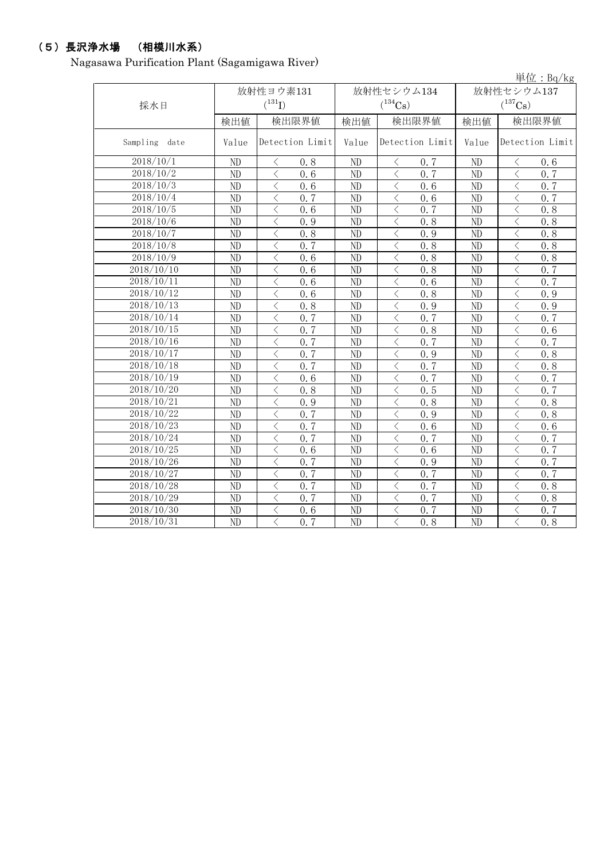### (5)長沢浄水場 (相模川水系)

Nagasawa Purification Plant (Sagamigawa River)

|                         |                 |                                                 |          |                                 |            | 単位: $Bq/kg$                                     |  |
|-------------------------|-----------------|-------------------------------------------------|----------|---------------------------------|------------|-------------------------------------------------|--|
|                         | 放射性ヨウ素131       |                                                 |          | 放射性セシウム134                      | 放射性セシウム137 |                                                 |  |
| 採水日                     |                 | $(^{131}I)$                                     |          | $(^{134}\mathrm{Cs})$           |            | $(^{137}\mathrm{Cs})$                           |  |
|                         | 検出値             | 検出限界値                                           | 検出値      | 検出限界値                           | 検出値        | 検出限界値                                           |  |
| Sampling date           | Value           | Detection Limit                                 | Value    | Detection Limit                 | Value      | Detection Limit                                 |  |
| 2018/10/1               | ND              | 0.8<br>$\langle$                                | ND       | 0.7<br>⟨                        | ND         | $\langle$<br>0.6                                |  |
| 2018/10/2               | ND              | $\langle$<br>0.6                                | ND       | 0.7<br>$\lt$                    | ND         | $\lt$<br>0.7                                    |  |
| 2018/10/3               | ND              | 0.6<br>$\lt$                                    | ND       | $\langle$<br>0.6                | $\rm ND$   | $\langle$<br>0.7                                |  |
| $\frac{2018}{10}/4$     | ND              | 0.7<br>$\lt$                                    | $\rm ND$ | 0.6<br>$\lt$                    | ND         | $\lt$<br>0.7                                    |  |
| 2018/10/5               | ND              | $\langle$<br>0, 6                               | ND       | 0.7<br>$\langle$                | ND         | $\lt$<br>0.8                                    |  |
| 2018/10/6               | ND              | $\lt$<br>0.9                                    | ND       | 0.8<br>$\lt$                    | ND         | $\lt$<br>0.8                                    |  |
| 2018/10/7               | ND              | 0.8<br>$\lt$                                    | ND       | 0.9<br>$\langle$                | ND         | $\lt$<br>0.8                                    |  |
| 2018/10/8               | ND              | 0.7<br>$\lt$                                    | ND       | 0.8<br>$\langle$                | ND         | $\lt$<br>0.8                                    |  |
| 2018/10/9               | ND              | $\lt$<br>0.6                                    | ND       | 0.8<br>$\langle$                | ND         | $\lt$<br>0.8                                    |  |
| 2018/10/10              | ND              | $\langle$<br>0.6                                | ND       | 0.8<br>$\lt$                    | $\rm ND$   | $\lt$<br>0.7                                    |  |
| 2018/10/11              | ND              | $\,$ $\,$<br>0.6                                | ND       | 0.6<br>$\lt$                    | ND         | $\lt$<br>0.7                                    |  |
| 2018/10/12              | ND              | $\lt$<br>0.6                                    | $\rm ND$ | 0.8                             | ND         | $\, \zeta \,$<br>0.9                            |  |
| 2018/10/13              | ND              | $\overline{\left\langle \right\rangle }$<br>0.8 | ND       | $\langle$<br>0.9                | ND         | $\lt$<br>0.9                                    |  |
| 2018/10/14              | N <sub>D</sub>  | $\lt$<br>0.7                                    | ND       | $\langle$<br>0.7                | ND         | $\lt$<br>0.7                                    |  |
| 2018/10/15              | ND              | $\overline{\left\langle \right\rangle }$<br>0.7 | ND       | $\langle$<br>0.8                | ND         | $\langle$<br>0.6                                |  |
| 2018/10/16              | ND              | $\overline{\left\langle \right\rangle }$<br>0.7 | ND       | 0.7                             | ND         | 0.7                                             |  |
| 2018/10/17              | ND              | $\langle$<br>0.7                                | ND       | 0.9<br>$\lt$                    | ND         | 0.8<br>$\lt$                                    |  |
| 2018/10/18              | N <sub>D</sub>  | $\lt$<br>0, 7                                   | ND       | $\langle$<br>0.7                | ND         | $\overline{\left\langle \right\rangle }$<br>0.8 |  |
| 2018/10/19              | ND              | $\lt$<br>0.6                                    | ND       | $\lt$<br>0.7                    | ND         | $\langle$<br>0.7                                |  |
| 2018/10/20              | ND              | $\lt$<br>0.8                                    | ND       | 0.5<br>$\langle$                | ND         | $\langle$<br>0.7                                |  |
| 2018/10/21              | $\overline{ND}$ | $\lt$<br>0.9                                    | ND       | $\langle$<br>0.8                | ND         | $\lt$<br>0.8                                    |  |
| 2018/10/22              | ND              | $\lt$<br>0.7                                    | ND       | $\langle$<br>0.9                | ND         | $\langle$<br>0.8                                |  |
| 2018/10/23              | N <sub>D</sub>  | 0.7<br>$\lt$                                    | ND       | $\overline{0}$ . 6<br>$\langle$ | ND         | $\lt$<br>0.6                                    |  |
| 2018/10/24              | ND              | 0, 7<br>$\lt$                                   | ND       | 0, 7<br>$\lt$                   | ND         | 0.7<br>$\lt$                                    |  |
| $2018/\overline{10/25}$ | ND              | $\langle$<br>0.6                                | ND       | $\langle$<br>0.6                | $\rm ND$   | 0.7<br>$\langle$                                |  |
| 2018/10/26              | ND              | $\langle$<br>0.7                                | ND       | $\langle$<br>0.9                | ND         | $\overline{\left\langle \right\rangle }$<br>0.7 |  |
| 2018/10/27              | ND              | 0.7<br>$\lt$                                    | ND       | 0.7<br>$\langle$                | ND         | 0.7<br>$\lt$                                    |  |
| 2018/10/28              | ND              | 0, 7<br>$\langle$                               | ND       | 0.7<br>$\langle$                | ND         | $\lt$<br>0.8                                    |  |
| 2018/10/29              | ND              | $\langle$<br>0, 7                               | ND       | 0.7<br>$\langle$                | ND         | $\lt$<br>0.8                                    |  |
| 2018/10/30              | ND              | $\langle$<br>0.6                                | ND       | $\langle$<br>0.7                | ND         | $\hspace{0.5cm}\big\langle$<br>0.7              |  |
| 2018/10/31              | ND              | $\langle$<br>0.7                                | ND       | 0.8<br>$\langle$                | ND         | $\overline{\left\langle \right\rangle }$<br>0.8 |  |